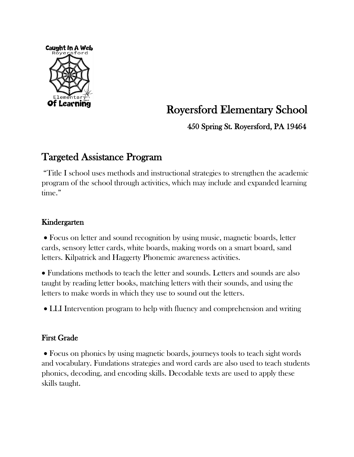

# Royersford Elementary School

450 Spring St. Royersford, PA 19464

# Targeted Assistance Program

"Title I school uses methods and instructional strategies to strengthen the academic program of the school through activities, which may include and expanded learning time."

# Kindergarten

• Focus on letter and sound recognition by using music, magnetic boards, letter cards, sensory letter cards, white boards, making words on a smart board, sand letters. Kilpatrick and Haggerty Phonemic awareness activities.

• Fundations methods to teach the letter and sounds. Letters and sounds are also taught by reading letter books, matching letters with their sounds, and using the letters to make words in which they use to sound out the letters.

• LLI Intervention program to help with fluency and comprehension and writing

# First Grade

• Focus on phonics by using magnetic boards, journeys tools to teach sight words and vocabulary. Fundations strategies and word cards are also used to teach students phonics, decoding, and encoding skills. Decodable texts are used to apply these skills taught.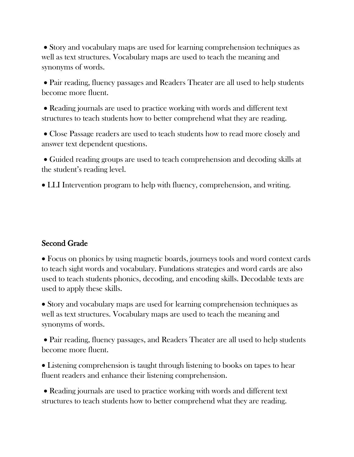• Story and vocabulary maps are used for learning comprehension techniques as well as text structures. Vocabulary maps are used to teach the meaning and synonyms of words.

• Pair reading, fluency passages and Readers Theater are all used to help students become more fluent.

• Reading journals are used to practice working with words and different text structures to teach students how to better comprehend what they are reading.

• Close Passage readers are used to teach students how to read more closely and answer text dependent questions.

• Guided reading groups are used to teach comprehension and decoding skills at the student's reading level.

• LLI Intervention program to help with fluency, comprehension, and writing.

#### Second Grade

• Focus on phonics by using magnetic boards, journeys tools and word context cards to teach sight words and vocabulary. Fundations strategies and word cards are also used to teach students phonics, decoding, and encoding skills. Decodable texts are used to apply these skills.

• Story and vocabulary maps are used for learning comprehension techniques as well as text structures. Vocabulary maps are used to teach the meaning and synonyms of words.

• Pair reading, fluency passages, and Readers Theater are all used to help students become more fluent.

• Listening comprehension is taught through listening to books on tapes to hear fluent readers and enhance their listening comprehension.

• Reading journals are used to practice working with words and different text structures to teach students how to better comprehend what they are reading.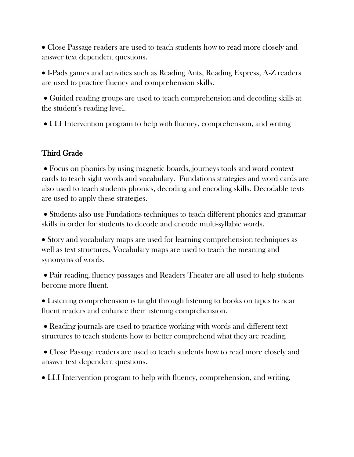• Close Passage readers are used to teach students how to read more closely and answer text dependent questions.

• I-Pads games and activities such as Reading Ants, Reading Express, A-Z readers are used to practice fluency and comprehension skills.

• Guided reading groups are used to teach comprehension and decoding skills at the student's reading level.

• LLI Intervention program to help with fluency, comprehension, and writing

# Third Grade

• Focus on phonics by using magnetic boards, journeys tools and word context cards to teach sight words and vocabulary. Fundations strategies and word cards are also used to teach students phonics, decoding and encoding skills. Decodable texts are used to apply these strategies.

• Students also use Fundations techniques to teach different phonics and grammar skills in order for students to decode and encode multi-syllabic words.

• Story and vocabulary maps are used for learning comprehension techniques as well as text structures. Vocabulary maps are used to teach the meaning and synonyms of words.

• Pair reading, fluency passages and Readers Theater are all used to help students become more fluent.

• Listening comprehension is taught through listening to books on tapes to hear fluent readers and enhance their listening comprehension.

• Reading journals are used to practice working with words and different text structures to teach students how to better comprehend what they are reading.

• Close Passage readers are used to teach students how to read more closely and answer text dependent questions.

• LLI Intervention program to help with fluency, comprehension, and writing.